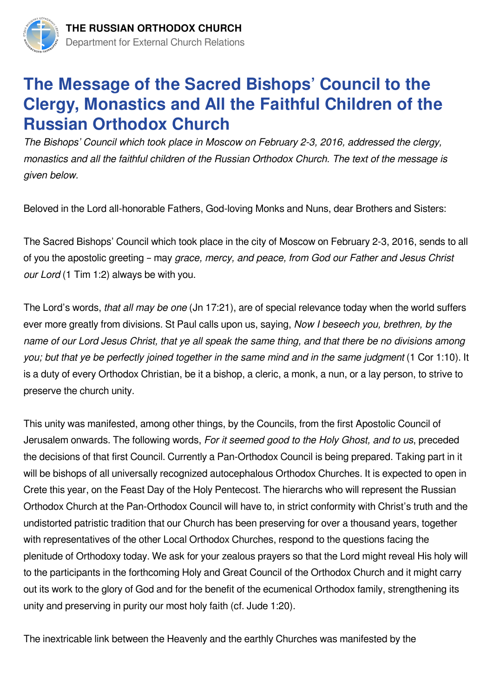

## **The Message of the Sacred Bishops' Council to the Clergy, Monastics and All the Faithful Children of the Russian Orthodox Church**

*The Bishops' Council which took place in Moscow on February 2-3, 2016, addressed the clergy, monastics and all the faithful children of the Russian Orthodox Church. The text of the message is given below.*

Beloved in the Lord all-honorable Fathers, God-loving Monks and Nuns, dear Brothers and Sisters:

The Sacred Bishops' Council which took place in the city of Moscow on February 2-3, 2016, sends to all of you the apostolic greeting – may *grace, mercy, and peace, from God our Father and Jesus Christ our Lord* (1 Tim 1:2) always be with you.

The Lord's words, *that all may be one* (Jn 17:21), are of special relevance today when the world suffers ever more greatly from divisions. St Paul calls upon us, saying, *Now I beseech you, brethren, by the name of our Lord Jesus Christ, that ye all speak the same thing, and that there be no divisions among you; but that ye be perfectly joined together in the same mind and in the same judgment* (1 Cor 1:10). It is a duty of every Orthodox Christian, be it a bishop, a cleric, a monk, a nun, or a lay person, to strive to preserve the church unity.

This unity was manifested, among other things, by the Councils, from the first Apostolic Council of Jerusalem onwards. The following words, *For it seemed good to the Holy Ghost, and to us*, preceded the decisions of that first Council. Currently a Pan-Orthodox Council is being prepared. Taking part in it will be bishops of all universally recognized autocephalous Orthodox Churches. It is expected to open in Crete this year, on the Feast Day of the Holy Pentecost. The hierarchs who will represent the Russian Orthodox Church at the Pan-Orthodox Council will have to, in strict conformity with Christ's truth and the undistorted patristic tradition that our Church has been preserving for over a thousand years, together with representatives of the other Local Orthodox Churches, respond to the questions facing the plenitude of Orthodoxy today. We ask for your zealous prayers so that the Lord might reveal His holy will to the participants in the forthcoming Holy and Great Council of the Orthodox Church and it might carry out its work to the glory of God and for the benefit of the ecumenical Orthodox family, strengthening its unity and preserving in purity our most holy faith (cf. Jude 1:20).

The inextricable link between the Heavenly and the earthly Churches was manifested by the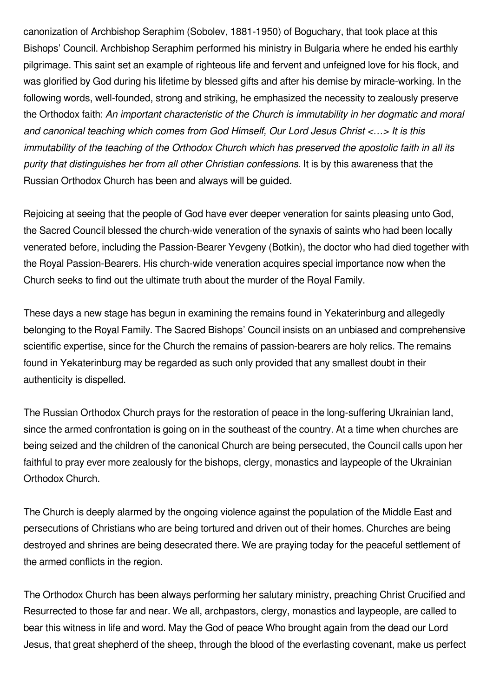canonization of Archbishop Seraphim (Sobolev, 1881-1950) of Boguchary, that took place at this Bishops' Council. Archbishop Seraphim performed his ministry in Bulgaria where he ended his earthly pilgrimage. This saint set an example of righteous life and fervent and unfeigned love for his flock, and was glorified by God during his lifetime by blessed gifts and after his demise by miracle-working. In the following words, well-founded, strong and striking, he emphasized the necessity to zealously preserve the Orthodox faith: *An important characteristic of the Church is immutability in her dogmatic and moral and canonical teaching which comes from God Himself, Our Lord Jesus Christ <…> It is this immutability of the teaching of the Orthodox Church which has preserved the apostolic faith in all its purity that distinguishes her from all other Christian confessions*. It is by this awareness that the Russian Orthodox Church has been and always will be guided.

Rejoicing at seeing that the people of God have ever deeper veneration for saints pleasing unto God, the Sacred Council blessed the church-wide veneration of the synaxis of saints who had been locally venerated before, including the Passion-Bearer Yevgeny (Botkin), the doctor who had died together with the Royal Passion-Bearers. His church-wide veneration acquires special importance now when the Church seeks to find out the ultimate truth about the murder of the Royal Family.

These days a new stage has begun in examining the remains found in Yekaterinburg and allegedly belonging to the Royal Family. The Sacred Bishops' Council insists on an unbiased and comprehensive scientific expertise, since for the Church the remains of passion-bearers are holy relics. The remains found in Yekaterinburg may be regarded as such only provided that any smallest doubt in their authenticity is dispelled.

The Russian Orthodox Church prays for the restoration of peace in the long-suffering Ukrainian land, since the armed confrontation is going on in the southeast of the country. At a time when churches are being seized and the children of the canonical Church are being persecuted, the Council calls upon her faithful to pray ever more zealously for the bishops, clergy, monastics and laypeople of the Ukrainian Orthodox Church.

The Church is deeply alarmed by the ongoing violence against the population of the Middle East and persecutions of Christians who are being tortured and driven out of their homes. Churches are being destroyed and shrines are being desecrated there. We are praying today for the peaceful settlement of the armed conflicts in the region.

The Orthodox Church has been always performing her salutary ministry, preaching Christ Crucified and Resurrected to those far and near. We all, archpastors, clergy, monastics and laypeople, are called to bear this witness in life and word. May the God of peace Who brought again from the dead our Lord Jesus, that great shepherd of the sheep, through the blood of the everlasting covenant, make us perfect